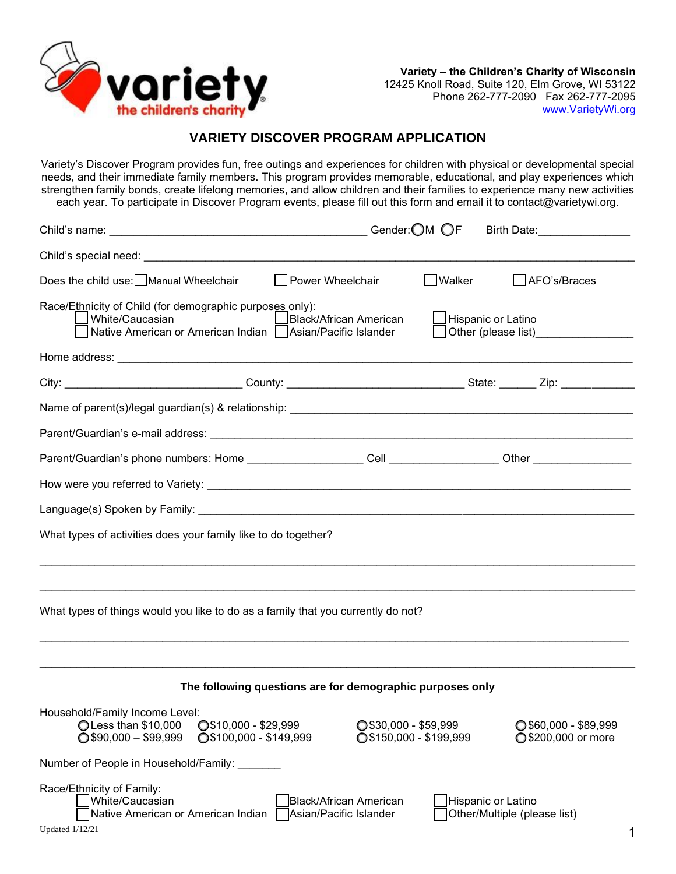

## **VARIETY DISCOVER PROGRAM APPLICATION**

Variety's Discover Program provides fun, free outings and experiences for children with physical or developmental special needs, and their immediate family members. This program provides memorable, educational, and play experiences which strengthen family bonds, create lifelong memories, and allow children and their families to experience many new activities each year. To participate in Discover Program events, please fill out this form and email it to contact@varietywi.org.

| Child's name: Gender: OM OF                                                                                                                                           |                                                           |                                                          |                           | Birth Date: <b>Example 20</b>                        |   |
|-----------------------------------------------------------------------------------------------------------------------------------------------------------------------|-----------------------------------------------------------|----------------------------------------------------------|---------------------------|------------------------------------------------------|---|
|                                                                                                                                                                       |                                                           |                                                          |                           |                                                      |   |
| Does the child use: Manual Wheelchair                                                                                                                                 | Power Wheelchair                                          |                                                          | <b>Walker</b>             | AFO's/Braces                                         |   |
| Race/Ethnicity of Child (for demographic purposes only):<br>White/Caucasian<br>Native American or American Indian   Asian/Pacific Islander                            | Black/African American                                    |                                                          | $\Box$ Hispanic or Latino | Other (please list)__________________                |   |
|                                                                                                                                                                       |                                                           |                                                          |                           |                                                      |   |
| City: __________________________________County: __________________________________State: ________ Zip: _____________                                                  |                                                           |                                                          |                           |                                                      |   |
|                                                                                                                                                                       |                                                           |                                                          |                           |                                                      |   |
|                                                                                                                                                                       |                                                           |                                                          |                           |                                                      |   |
|                                                                                                                                                                       |                                                           |                                                          |                           |                                                      |   |
|                                                                                                                                                                       |                                                           |                                                          |                           |                                                      |   |
|                                                                                                                                                                       |                                                           |                                                          |                           |                                                      |   |
| What types of activities does your family like to do together?                                                                                                        |                                                           |                                                          |                           |                                                      |   |
| ,我们也不能在这里的人,我们也不能在这里的人,我们也不能在这里的人,我们也不能在这里的人,我们也不能在这里的人,我们也不能在这里的人,我们也不能在这里的人,我们也<br>What types of things would you like to do as a family that you currently do not? |                                                           |                                                          |                           |                                                      |   |
|                                                                                                                                                                       | The following questions are for demographic purposes only |                                                          |                           |                                                      |   |
| Household/Family Income Level:<br>◯ Less than \$10,000<br>$\bigcirc$ \$90,000 - \$99,999                                                                              | $\bigcirc$ \$10,000 - \$29,999<br>◯\$100,000 - \$149,999  | $\bigcirc$ \$30,000 - \$59,999<br>◯\$150,000 - \$199,999 |                           | $\bigcirc$ \$60,000 - \$89,999<br>◯\$200,000 or more |   |
| Number of People in Household/Family:                                                                                                                                 |                                                           |                                                          |                           |                                                      |   |
| Race/Ethnicity of Family:<br>White/Caucasian<br>Native American or American Indian<br><b>Updated 1/12/21</b>                                                          | Black/African American<br>Asian/Pacific Islander          |                                                          | Hispanic or Latino        | Other/Multiple (please list)                         | 1 |